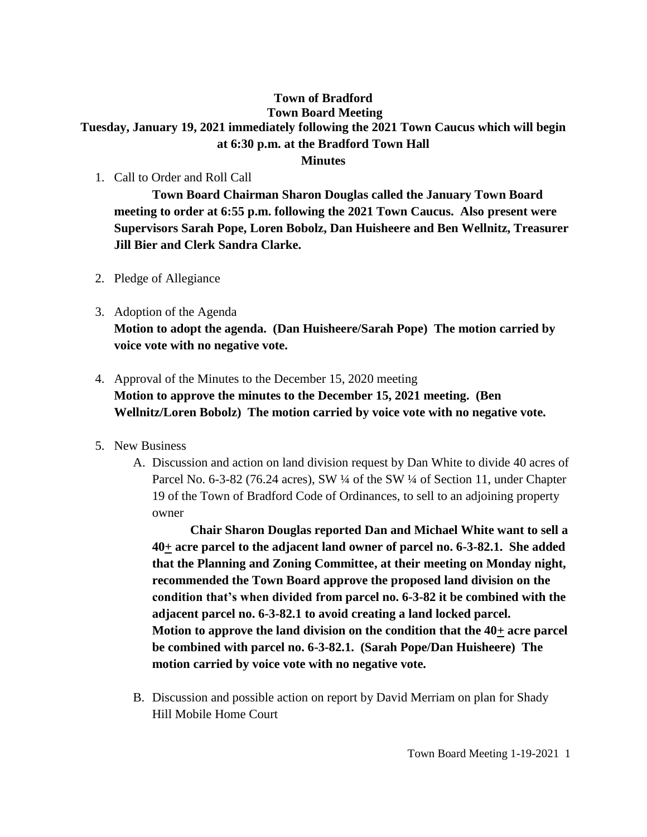## **Town of Bradford Town Board Meeting Tuesday, January 19, 2021 immediately following the 2021 Town Caucus which will begin at 6:30 p.m. at the Bradford Town Hall**

- **Minutes**
- 1. Call to Order and Roll Call

**Town Board Chairman Sharon Douglas called the January Town Board meeting to order at 6:55 p.m. following the 2021 Town Caucus. Also present were Supervisors Sarah Pope, Loren Bobolz, Dan Huisheere and Ben Wellnitz, Treasurer Jill Bier and Clerk Sandra Clarke.**

- 2. Pledge of Allegiance
- 3. Adoption of the Agenda **Motion to adopt the agenda. (Dan Huisheere/Sarah Pope) The motion carried by voice vote with no negative vote.**
- 4. Approval of the Minutes to the December 15, 2020 meeting **Motion to approve the minutes to the December 15, 2021 meeting. (Ben Wellnitz/Loren Bobolz) The motion carried by voice vote with no negative vote.**
- 5. New Business
	- A. Discussion and action on land division request by Dan White to divide 40 acres of Parcel No. 6-3-82 (76.24 acres), SW ¼ of the SW ¼ of Section 11, under Chapter 19 of the Town of Bradford Code of Ordinances, to sell to an adjoining property owner

**Chair Sharon Douglas reported Dan and Michael White want to sell a 40+ acre parcel to the adjacent land owner of parcel no. 6-3-82.1. She added that the Planning and Zoning Committee, at their meeting on Monday night, recommended the Town Board approve the proposed land division on the condition that's when divided from parcel no. 6-3-82 it be combined with the adjacent parcel no. 6-3-82.1 to avoid creating a land locked parcel. Motion to approve the land division on the condition that the 40+ acre parcel be combined with parcel no. 6-3-82.1. (Sarah Pope/Dan Huisheere) The motion carried by voice vote with no negative vote.**

B. Discussion and possible action on report by David Merriam on plan for Shady Hill Mobile Home Court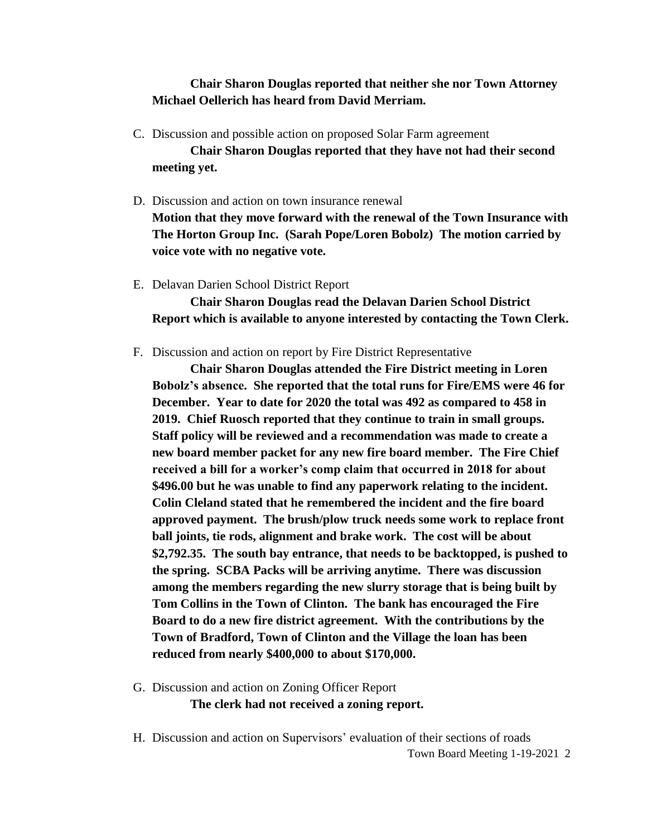## **Chair Sharon Douglas reported that neither she nor Town Attorney Michael Oellerich has heard from David Merriam.**

- C. Discussion and possible action on proposed Solar Farm agreement **Chair Sharon Douglas reported that they have not had their second meeting yet.**
- D. Discussion and action on town insurance renewal

**Motion that they move forward with the renewal of the Town Insurance with The Horton Group Inc. (Sarah Pope/Loren Bobolz) The motion carried by voice vote with no negative vote.**

E. Delavan Darien School District Report

**Chair Sharon Douglas read the Delavan Darien School District Report which is available to anyone interested by contacting the Town Clerk.**

F. Discussion and action on report by Fire District Representative

**Chair Sharon Douglas attended the Fire District meeting in Loren Bobolz's absence. She reported that the total runs for Fire/EMS were 46 for December. Year to date for 2020 the total was 492 as compared to 458 in 2019. Chief Ruosch reported that they continue to train in small groups. Staff policy will be reviewed and a recommendation was made to create a new board member packet for any new fire board member. The Fire Chief received a bill for a worker's comp claim that occurred in 2018 for about \$496.00 but he was unable to find any paperwork relating to the incident. Colin Cleland stated that he remembered the incident and the fire board approved payment. The brush/plow truck needs some work to replace front ball joints, tie rods, alignment and brake work. The cost will be about \$2,792.35. The south bay entrance, that needs to be backtopped, is pushed to the spring. SCBA Packs will be arriving anytime. There was discussion among the members regarding the new slurry storage that is being built by Tom Collins in the Town of Clinton. The bank has encouraged the Fire Board to do a new fire district agreement. With the contributions by the Town of Bradford, Town of Clinton and the Village the loan has been reduced from nearly \$400,000 to about \$170,000.**

- G. Discussion and action on Zoning Officer Report **The clerk had not received a zoning report.**
- H. Discussion and action on Supervisors' evaluation of their sections of roads

Town Board Meeting 1-19-2021 2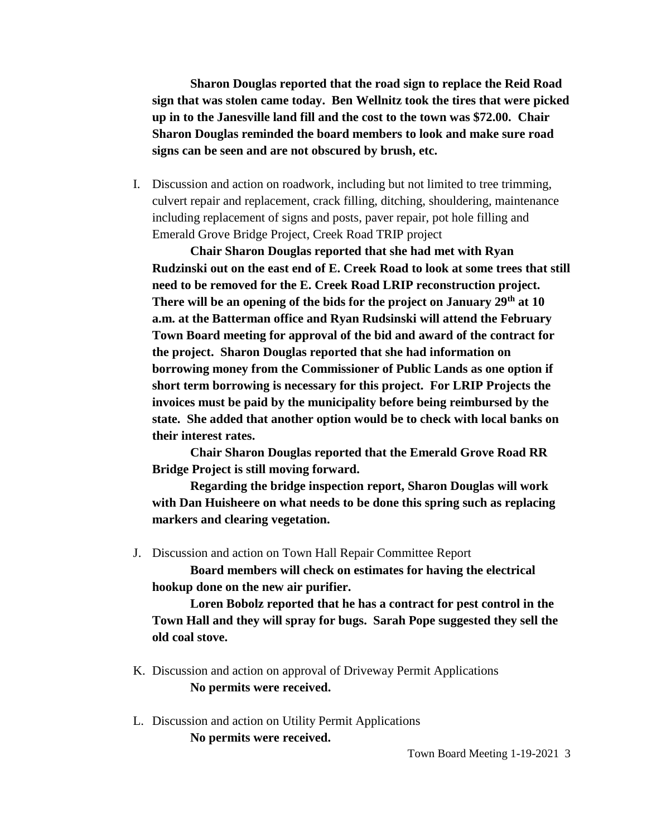**Sharon Douglas reported that the road sign to replace the Reid Road sign that was stolen came today. Ben Wellnitz took the tires that were picked up in to the Janesville land fill and the cost to the town was \$72.00. Chair Sharon Douglas reminded the board members to look and make sure road signs can be seen and are not obscured by brush, etc.**

I. Discussion and action on roadwork, including but not limited to tree trimming, culvert repair and replacement, crack filling, ditching, shouldering, maintenance including replacement of signs and posts, paver repair, pot hole filling and Emerald Grove Bridge Project, Creek Road TRIP project

**Chair Sharon Douglas reported that she had met with Ryan Rudzinski out on the east end of E. Creek Road to look at some trees that still need to be removed for the E. Creek Road LRIP reconstruction project. There will be an opening of the bids for the project on January 29th at 10 a.m. at the Batterman office and Ryan Rudsinski will attend the February Town Board meeting for approval of the bid and award of the contract for the project. Sharon Douglas reported that she had information on borrowing money from the Commissioner of Public Lands as one option if short term borrowing is necessary for this project. For LRIP Projects the invoices must be paid by the municipality before being reimbursed by the state. She added that another option would be to check with local banks on their interest rates.**

**Chair Sharon Douglas reported that the Emerald Grove Road RR Bridge Project is still moving forward.**

**Regarding the bridge inspection report, Sharon Douglas will work with Dan Huisheere on what needs to be done this spring such as replacing markers and clearing vegetation.**

J. Discussion and action on Town Hall Repair Committee Report

**Board members will check on estimates for having the electrical hookup done on the new air purifier.**

**Loren Bobolz reported that he has a contract for pest control in the Town Hall and they will spray for bugs. Sarah Pope suggested they sell the old coal stove.**

- K. Discussion and action on approval of Driveway Permit Applications **No permits were received.**
- L. Discussion and action on Utility Permit Applications **No permits were received.**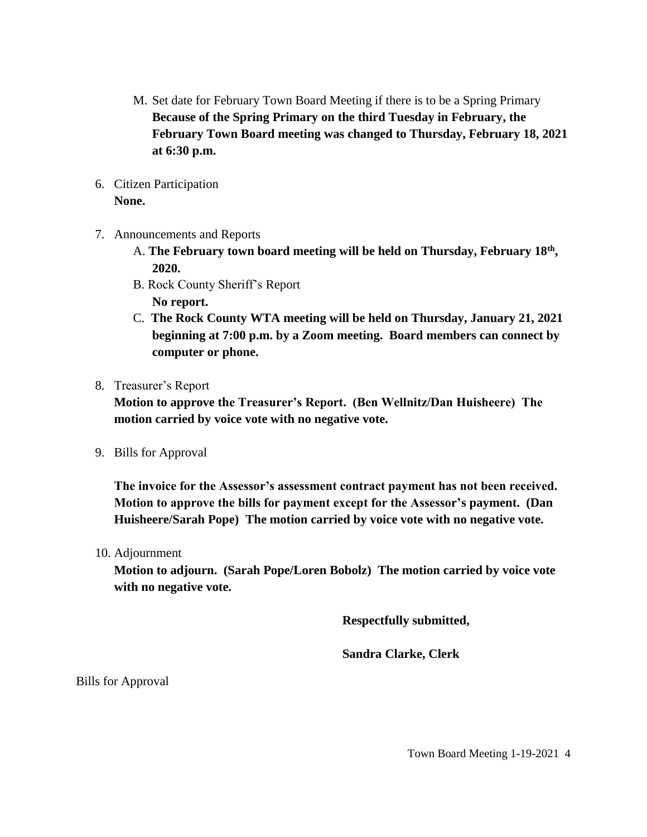- M. Set date for February Town Board Meeting if there is to be a Spring Primary **Because of the Spring Primary on the third Tuesday in February, the February Town Board meeting was changed to Thursday, February 18, 2021 at 6:30 p.m.**
- 6. Citizen Participation **None.**
- 7. Announcements and Reports
	- A. **The February town board meeting will be held on Thursday, February 18th , 2020.**
	- B. Rock County Sheriff's Report **No report.**
	- C. **The Rock County WTA meeting will be held on Thursday, January 21, 2021 beginning at 7:00 p.m. by a Zoom meeting. Board members can connect by computer or phone.**
- 8. Treasurer's Report

**Motion to approve the Treasurer's Report. (Ben Wellnitz/Dan Huisheere) The motion carried by voice vote with no negative vote.**

9. Bills for Approval

**The invoice for the Assessor's assessment contract payment has not been received. Motion to approve the bills for payment except for the Assessor's payment. (Dan Huisheere/Sarah Pope) The motion carried by voice vote with no negative vote.**

10. Adjournment

**Motion to adjourn. (Sarah Pope/Loren Bobolz) The motion carried by voice vote with no negative vote.**

**Respectfully submitted,**

**Sandra Clarke, Clerk**

Bills for Approval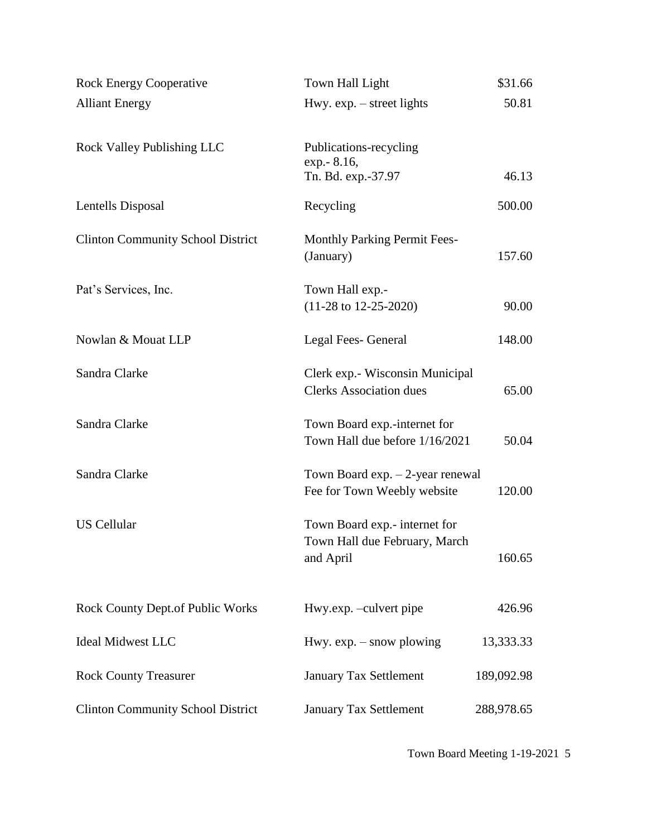| <b>Rock Energy Cooperative</b>           | Town Hall Light                                                              | \$31.66    |
|------------------------------------------|------------------------------------------------------------------------------|------------|
| <b>Alliant Energy</b>                    | Hwy. $exp. - street$ lights                                                  | 50.81      |
|                                          |                                                                              |            |
| <b>Rock Valley Publishing LLC</b>        | Publications-recycling                                                       |            |
|                                          | exp. - 8.16,<br>Tn. Bd. exp.-37.97                                           | 46.13      |
|                                          |                                                                              |            |
| Lentells Disposal                        | Recycling                                                                    | 500.00     |
| <b>Clinton Community School District</b> | <b>Monthly Parking Permit Fees-</b>                                          |            |
|                                          | (January)                                                                    | 157.60     |
|                                          |                                                                              |            |
| Pat's Services, Inc.                     | Town Hall exp.-                                                              |            |
|                                          | $(11-28 \text{ to } 12-25-2020)$                                             | 90.00      |
| Nowlan & Mouat LLP                       | Legal Fees- General                                                          | 148.00     |
|                                          |                                                                              |            |
| Sandra Clarke                            | Clerk exp.- Wisconsin Municipal                                              |            |
|                                          | <b>Clerks Association dues</b>                                               | 65.00      |
| Sandra Clarke                            | Town Board exp.-internet for                                                 |            |
|                                          | Town Hall due before 1/16/2021                                               | 50.04      |
|                                          |                                                                              |            |
| Sandra Clarke                            | Town Board $exp. - 2$ -year renewal<br>Fee for Town Weebly website<br>120.00 |            |
|                                          |                                                                              |            |
| <b>US Cellular</b>                       | Town Board exp.- internet for                                                |            |
|                                          | Town Hall due February, March                                                |            |
|                                          | and April                                                                    | 160.65     |
|                                          |                                                                              |            |
| <b>Rock County Dept.of Public Works</b>  | Hwy.exp. -culvert pipe                                                       | 426.96     |
|                                          |                                                                              |            |
| <b>Ideal Midwest LLC</b>                 | Hwy. $exp. - snow$ plowing                                                   | 13,333.33  |
| <b>Rock County Treasurer</b>             | <b>January Tax Settlement</b>                                                | 189,092.98 |
|                                          |                                                                              |            |
| <b>Clinton Community School District</b> | January Tax Settlement                                                       | 288,978.65 |